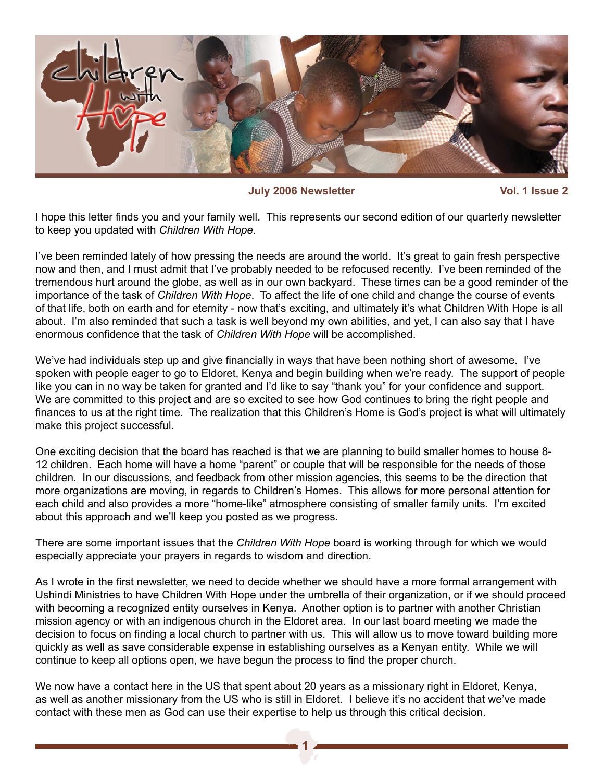

**July 2006 Newsletter Vol. 1 Issue 2**

I hope this letter finds you and your family well. This represents our second edition of our quarterly newsletter to keep you updated with *Children With Hope*.

I've been reminded lately of how pressing the needs are around the world. It's great to gain fresh perspective now and then, and I must admit that I've probably needed to be refocused recently. I've been reminded of the tremendous hurt around the globe, as well as in our own backyard. These times can be a good reminder of the importance of the task of *Children With Hope*. To affect the life of one child and change the course of events of that life, both on earth and for eternity - now that's exciting, and ultimately it's what Children With Hope is all about. I'm also reminded that such a task is well beyond my own abilities, and yet, I can also say that I have enormous confidence that the task of *Children With Hope* will be accomplished.

We've had individuals step up and give financially in ways that have been nothing short of awesome. I've spoken with people eager to go to Eldoret, Kenya and begin building when we're ready. The support of people like you can in no way be taken for granted and I'd like to say "thank you" for your confidence and support. We are committed to this project and are so excited to see how God continues to bring the right people and finances to us at the right time. The realization that this Children's Home is God's project is what will ultimately make this project successful.

One exciting decision that the board has reached is that we are planning to build smaller homes to house 8- 12 children. Each home will have a home "parent" or couple that will be responsible for the needs of those children. In our discussions, and feedback from other mission agencies, this seems to be the direction that more organizations are moving, in regards to Children's Homes. This allows for more personal attention for each child and also provides a more "home-like" atmosphere consisting of smaller family units. I'm excited about this approach and we'll keep you posted as we progress.

There are some important issues that the *Children With Hope* board is working through for which we would especially appreciate your prayers in regards to wisdom and direction.

As I wrote in the first newsletter, we need to decide whether we should have a more formal arrangement with Ushindi Ministries to have Children With Hope under the umbrella of their organization, or if we should proceed with becoming a recognized entity ourselves in Kenya. Another option is to partner with another Christian mission agency or with an indigenous church in the Eldoret area. In our last board meeting we made the decision to focus on finding a local church to partner with us. This will allow us to move toward building more quickly as well as save considerable expense in establishing ourselves as a Kenyan entity. While we will continue to keep all options open, we have begun the process to find the proper church.

We now have a contact here in the US that spent about 20 years as a missionary right in Eldoret, Kenya, as well as another missionary from the US who is still in Eldoret. I believe it's no accident that we've made contact with these men as God can use their expertise to help us through this critical decision.